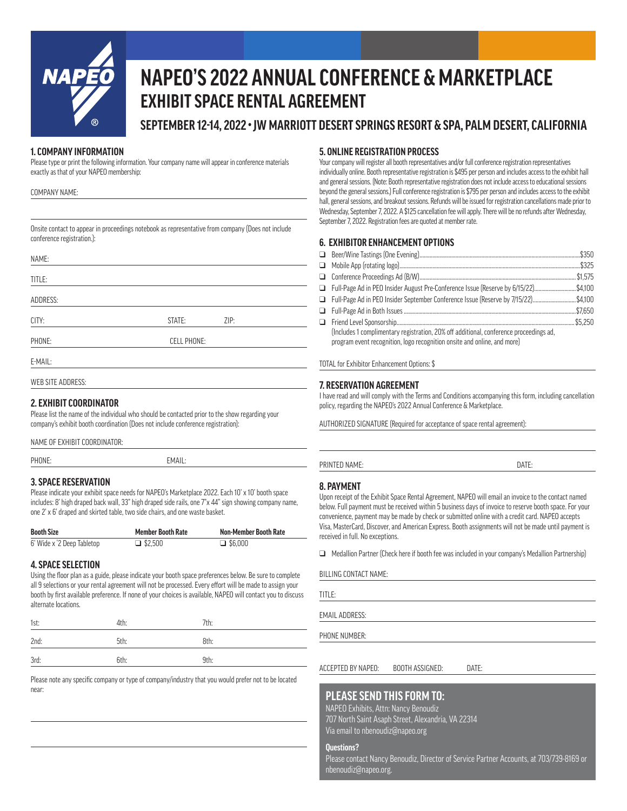

## **NAPEO'S 2022 ANNUAL CONFERENCE & MARKETPLACE EXHIBIT SPACE RENTAL AGREEMENT**

**SEPTEMBER 12-14, 2022 • JW MARRIOTT DESERT SPRINGS RESORT & SPA, PALM DESERT, CALIFORNIA**

#### **1. COMPANY INFORMATION**

Please type or print the following information. Your company name will appear in conference materials exactly as that of your NAPEO membership:

| COMPANY NAME: |  |
|---------------|--|
|---------------|--|

Onsite contact to appear in proceedings notebook as representative from company (Does not include conference registration.):

| NAME:             |                    |      |
|-------------------|--------------------|------|
| TITLE:            |                    |      |
| ADDRESS:          |                    |      |
| CITY:             | STATE:             | ZIP: |
| PHONE:            | <b>CELL PHONE:</b> |      |
| E-MAIL:           |                    |      |
| WEB SITE ADDRESS. |                    |      |

#### **2. EXHIBIT COORDINATOR**

Please list the name of the individual who should be contacted prior to the show regarding your company's exhibit booth coordination (Does not include conference registration):

NAME OF EXHIBIT COORDINATOR:

PHONE: EMAIL:

#### **3. SPACE RESERVATION**

Please indicate your exhibit space needs for NAPEO's Marketplace 2022. Each 10' x 10' booth space includes: 8' high draped back wall, 33" high draped side rails, one 7"x 44" sign showing company name, one 2' x 6' draped and skirted table, two side chairs, and one waste basket.

| <b>Booth Size</b>          | <b>Member Booth Rate</b> | <b>Non-Member Booth Rate</b> |
|----------------------------|--------------------------|------------------------------|
| 6' Wide x '2 Deep Tabletop | $\Box$ \$2.500           | $\Box$ \$6.000               |

### **4. SPACE SELECTION**

Using the floor plan as a guide, please indicate your booth space preferences below. Be sure to complete all 9 selections or your rental agreement will not be processed. Every effort will be made to assign your booth by first available preference. If none of your choices is available, NAPEO will contact you to discuss alternate locations.

| 1st: | 4th: | 7th: |
|------|------|------|
| 2nd: | 5th: | 8th: |
| 3rd: | 6th: | 9th: |

Please note any specific company or type of company/industry that you would prefer not to be located near:

#### **5. ONLINE REGISTRATION PROCESS**

Your company will register all booth representatives and/or full conference registration representatives individually online. Booth representative registration is \$495 per person and includes access to the exhibit hall and general sessions. (Note: Booth representative registration does not include access to educational sessions beyond the general sessions.) Full conference registration is \$795 per person and includes access to the exhibit hall, general sessions, and breakout sessions. Refunds will be issued for registration cancellations made prior to Wednesday, September 7, 2022. A \$125 cancellation fee will apply. There will be no refunds after Wednesday, September 7, 2022. Registration fees are quoted at member rate.

#### **6. EXHIBITOR ENHANCEMENT OPTIONS**

| □ Full-Page Ad in PEO Insider August Pre-Conference Issue (Reserve by 6/15/22)\$4,100                                                                              |  |
|--------------------------------------------------------------------------------------------------------------------------------------------------------------------|--|
| □ Full-Page Ad in PEO Insider September Conference Issue (Reserve by 7/15/22)\$4,100                                                                               |  |
|                                                                                                                                                                    |  |
|                                                                                                                                                                    |  |
| (Includes 1 complimentary registration, 20% off additional, conference proceedings ad,<br>program event recognition, logo recognition onsite and online, and more) |  |

TOTAL for Exhibitor Enhancement Options: \$

#### **7. RESERVATION AGREEMENT**

I have read and will comply with the Terms and Conditions accompanying this form, including cancellation policy, regarding the NAPEO's 2022 Annual Conference & Marketplace.

AUTHORIZED SIGNATURE (Required for acceptance of space rental agreement):

PRINTED NAME: DATE:

#### **8. PAYMENT**

Upon receipt of the Exhibit Space Rental Agreement, NAPEO will email an invoice to the contact named below. Full payment must be received within 5 business days of invoice to reserve booth space. For your convenience, payment may be made by check or submitted online with a credit card. NAPEO accepts Visa, MasterCard, Discover, and American Express. Booth assignments will not be made until payment is received in full. No exceptions.

 $\Box$  Medallion Partner (Check here if booth fee was included in your company's Medallion Partnership)

BILLING CONTACT NAME:

TITLE:

EMAIL ADDRESS:

PHONE NUMBER:

ACCEPTED BY NAPEO: BOOTH ASSIGNED: DATE:

### **PLEASE SEND THIS FORM TO:**

NAPEO Exhibits, Attn: Nancy Benoudiz 707 North Saint Asaph Street, Alexandria, VA 22314 Via email to nbenoudiz@napeo.org

**Questions?** 

Please contact Nancy Benoudiz, Director of Service Partner Accounts, at 703/739-8169 or nbenoudiz@napeo.org.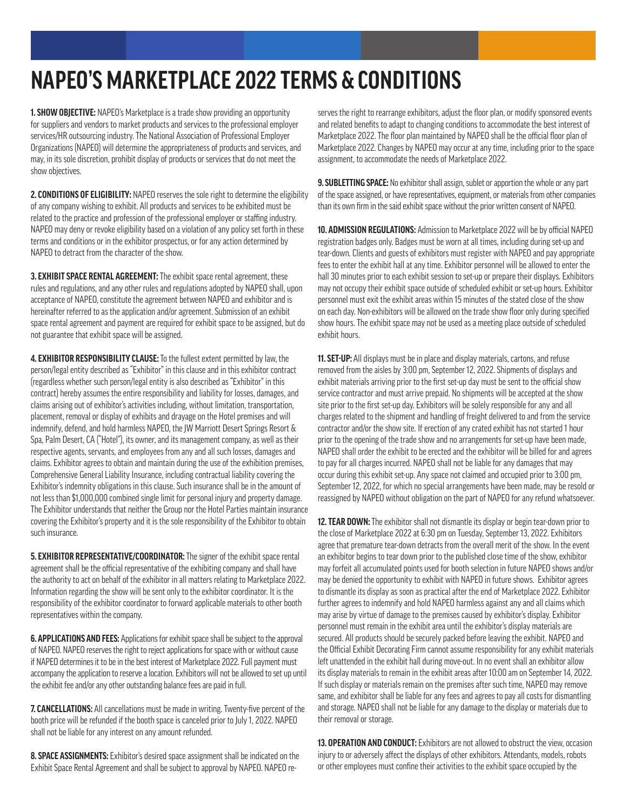# **NAPEO'S MARKETPLACE 2022 TERMS & CONDITIONS**

**1. SHOW OBJECTIVE:** NAPEO's Marketplace is a trade show providing an opportunity for suppliers and vendors to market products and services to the professional employer services/HR outsourcing industry. The National Association of Professional Employer Organizations (NAPEO) will determine the appropriateness of products and services, and may, in its sole discretion, prohibit display of products or services that do not meet the show objectives.

**2. CONDITIONS OF ELIGIBILITY:** NAPEO reserves the sole right to determine the eligibility of any company wishing to exhibit. All products and services to be exhibited must be related to the practice and profession of the professional employer or staffing industry. NAPEO may deny or revoke eligibility based on a violation of any policy set forth in these terms and conditions or in the exhibitor prospectus, or for any action determined by NAPEO to detract from the character of the show.

**3. EXHIBIT SPACE RENTAL AGREEMENT:** The exhibit space rental agreement, these rules and regulations, and any other rules and regulations adopted by NAPEO shall, upon acceptance of NAPEO, constitute the agreement between NAPEO and exhibitor and is hereinafter referred to as the application and/or agreement. Submission of an exhibit space rental agreement and payment are required for exhibit space to be assigned, but do not guarantee that exhibit space will be assigned.

**4. EXHIBITOR RESPONSIBILITY CLAUSE:**To the fullest extent permitted by law, the person/legal entity described as "Exhibitor" in this clause and in this exhibitor contract (regardless whether such person/legal entity is also described as "Exhibitor" in this contract) hereby assumes the entire responsibility and liability for losses, damages, and claims arising out of exhibitor's activities including, without limitation, transportation, placement, removal or display of exhibits and drayage on the Hotel premises and will indemnify, defend, and hold harmless NAPEO, the JW Marriott Desert Springs Resort & Spa, Palm Desert, CA ("Hotel"), its owner, and its management company, as well as their respective agents, servants, and employees from any and all such losses, damages and claims. Exhibitor agrees to obtain and maintain during the use of the exhibition premises, Comprehensive General Liability Insurance, including contractual liability covering the Exhibitor's indemnity obligations in this clause. Such insurance shall be in the amount of not less than \$1,000,000 combined single limit for personal injury and property damage. The Exhibitor understands that neither the Group nor the Hotel Parties maintain insurance covering the Exhibitor's property and it is the sole responsibility of the Exhibitor to obtain such insurance.

**5. EXHIBITOR REPRESENTATIVE/COORDINATOR:** The signer of the exhibit space rental agreement shall be the official representative of the exhibiting company and shall have the authority to act on behalf of the exhibitor in all matters relating to Marketplace 2022. Information regarding the show will be sent only to the exhibitor coordinator. It is the responsibility of the exhibitor coordinator to forward applicable materials to other booth representatives within the company.

**6. APPLICATIONS AND FEES:** Applications for exhibit space shall be subject to the approval of NAPEO. NAPEO reserves the right to reject applications for space with or without cause if NAPEO determines it to be in the best interest of Marketplace 2022. Full payment must accompany the application to reserve a location. Exhibitors will not be allowed to set up until the exhibit fee and/or any other outstanding balance fees are paid in full.

**7. CANCELLATIONS:** All cancellations must be made in writing. Twenty-five percent of the booth price will be refunded if the booth space is canceled prior to July 1, 2022. NAPEO shall not be liable for any interest on any amount refunded.

**8. SPACE ASSIGNMENTS:** Exhibitor's desired space assignment shall be indicated on the Exhibit Space Rental Agreement and shall be subject to approval by NAPEO. NAPEO reserves the right to rearrange exhibitors, adjust the floor plan, or modify sponsored events and related benefits to adapt to changing conditions to accommodate the best interest of Marketplace 2022. The floor plan maintained by NAPEO shall be the official floor plan of Marketplace 2022. Changes by NAPEO may occur at any time, including prior to the space assignment, to accommodate the needs of Marketplace 2022.

**9. SUBLETTING SPACE:** No exhibitor shall assign, sublet or apportion the whole or any part of the space assigned, or have representatives, equipment, or materials from other companies than its own firm in the said exhibit space without the prior written consent of NAPEO.

**10. ADMISSION REGULATIONS:** Admission to Marketplace 2022 will be by official NAPEO registration badges only. Badges must be worn at all times, including during set-up and tear-down. Clients and guests of exhibitors must register with NAPEO and pay appropriate fees to enter the exhibit hall at any time. Exhibitor personnel will be allowed to enter the hall 30 minutes prior to each exhibit session to set-up or prepare their displays. Exhibitors may not occupy their exhibit space outside of scheduled exhibit or set-up hours. Exhibitor personnel must exit the exhibit areas within 15 minutes of the stated close of the show on each day. Non-exhibitors will be allowed on the trade show floor only during specified show hours. The exhibit space may not be used as a meeting place outside of scheduled exhibit hours.

**11. SET-UP:** All displays must be in place and display materials, cartons, and refuse removed from the aisles by 3:00 pm, September 12, 2022. Shipments of displays and exhibit materials arriving prior to the first set-up day must be sent to the official show service contractor and must arrive prepaid. No shipments will be accepted at the show site prior to the first set-up day. Exhibitors will be solely responsible for any and all charges related to the shipment and handling of freight delivered to and from the service contractor and/or the show site. If erection of any crated exhibit has not started 1 hour prior to the opening of the trade show and no arrangements for set-up have been made, NAPEO shall order the exhibit to be erected and the exhibitor will be billed for and agrees to pay for all charges incurred. NAPEO shall not be liable for any damages that may occur during this exhibit set-up. Any space not claimed and occupied prior to 3:00 pm, September 12, 2022, for which no special arrangements have been made, may be resold or reassigned by NAPEO without obligation on the part of NAPEO for any refund whatsoever.

**12. TEAR DOWN:**The exhibitor shall not dismantle its display or begin tear-down prior to the close of Marketplace 2022 at 6:30 pm on Tuesday, September 13, 2022. Exhibitors agree that premature tear-down detracts from the overall merit of the show. In the event an exhibitor begins to tear down prior to the published close time of the show, exhibitor may forfeit all accumulated points used for booth selection in future NAPEO shows and/or may be denied the opportunity to exhibit with NAPEO in future shows. Exhibitor agrees to dismantle its display as soon as practical after the end of Marketplace 2022. Exhibitor further agrees to indemnify and hold NAPEO harmless against any and all claims which may arise by virtue of damage to the premises caused by exhibitor's display. Exhibitor personnel must remain in the exhibit area until the exhibitor's display materials are secured. All products should be securely packed before leaving the exhibit. NAPEO and the Official Exhibit Decorating Firm cannot assume responsibility for any exhibit materials left unattended in the exhibit hall during move-out. In no event shall an exhibitor allow its display materials to remain in the exhibit areas after 10:00 am on September 14, 2022. If such display or materials remain on the premises after such time, NAPEO may remove same, and exhibitor shall be liable for any fees and agrees to pay all costs for dismantling and storage. NAPEO shall not be liable for any damage to the display or materials due to their removal or storage.

**13. OPERATION AND CONDUCT:** Exhibitors are not allowed to obstruct the view, occasion injury to or adversely affect the displays of other exhibitors. Attendants, models, robots or other employees must confine their activities to the exhibit space occupied by the